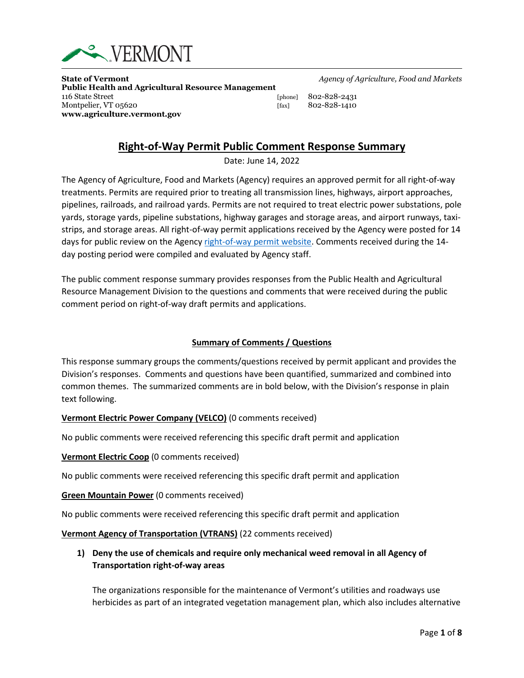

**State of Vermont** *Agency of Agriculture, Food and Markets* **Public Health and Agricultural Resource Management** 116 State Street [phone] 802-828-2431 Montpelier, VT 05620 [fax] 802-828-1410 **www.agriculture.vermont.gov**

# **Right-of-Way Permit Public Comment Response Summary**

Date: June 14, 2022

The Agency of Agriculture, Food and Markets (Agency) requires an approved permit for all right-of-way treatments. Permits are required prior to treating all transmission lines, highways, airport approaches, pipelines, railroads, and railroad yards. Permits are not required to treat electric power substations, pole yards, storage yards, pipeline substations, highway garages and storage areas, and airport runways, taxistrips, and storage areas. All right-of-way permit applications received by the Agency were posted for 14 days for public review on the Agency [right-of-way permit website.](https://agriculture.vermont.gov/public-health-agricultural-resource-management-division/pesticide-programs/pesticide-permits/right) Comments received during the 14 day posting period were compiled and evaluated by Agency staff.

The public comment response summary provides responses from the Public Health and Agricultural Resource Management Division to the questions and comments that were received during the public comment period on right-of-way draft permits and applications.

## **Summary of Comments / Questions**

This response summary groups the comments/questions received by permit applicant and provides the Division's responses. Comments and questions have been quantified, summarized and combined into common themes. The summarized comments are in bold below, with the Division's response in plain text following.

## **Vermont Electric Power Company (VELCO)** (0 comments received)

No public comments were received referencing this specific draft permit and application

#### **Vermont Electric Coop** (0 comments received)

No public comments were received referencing this specific draft permit and application

#### **Green Mountain Power** (0 comments received)

No public comments were received referencing this specific draft permit and application

#### **Vermont Agency of Transportation (VTRANS)** (22 comments received)

## **1) Deny the use of chemicals and require only mechanical weed removal in all Agency of Transportation right-of-way areas**

The organizations responsible for the maintenance of Vermont's utilities and roadways use herbicides as part of an integrated vegetation management plan, which also includes alternative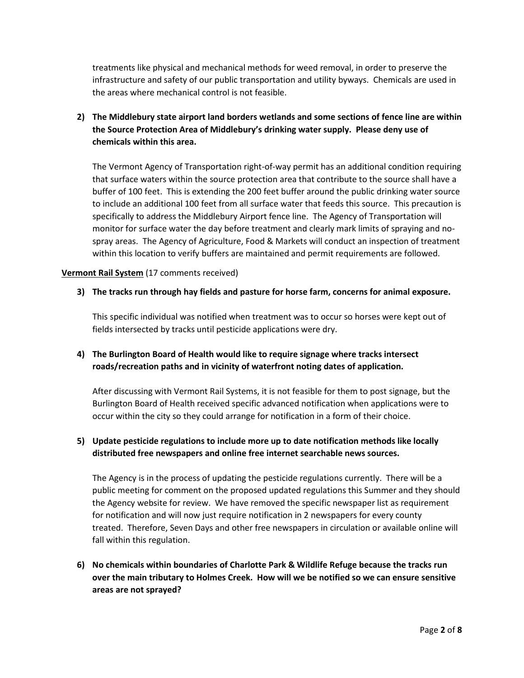treatments like physical and mechanical methods for weed removal, in order to preserve the infrastructure and safety of our public transportation and utility byways. Chemicals are used in the areas where mechanical control is not feasible.

## **2) The Middlebury state airport land borders wetlands and some sections of fence line are within the Source Protection Area of Middlebury's drinking water supply. Please deny use of chemicals within this area.**

The Vermont Agency of Transportation right-of-way permit has an additional condition requiring that surface waters within the source protection area that contribute to the source shall have a buffer of 100 feet. This is extending the 200 feet buffer around the public drinking water source to include an additional 100 feet from all surface water that feeds this source. This precaution is specifically to address the Middlebury Airport fence line. The Agency of Transportation will monitor for surface water the day before treatment and clearly mark limits of spraying and nospray areas. The Agency of Agriculture, Food & Markets will conduct an inspection of treatment within this location to verify buffers are maintained and permit requirements are followed.

## **Vermont Rail System** (17 comments received)

## **3) The tracks run through hay fields and pasture for horse farm, concerns for animal exposure.**

This specific individual was notified when treatment was to occur so horses were kept out of fields intersected by tracks until pesticide applications were dry.

## **4) The Burlington Board of Health would like to require signage where tracks intersect roads/recreation paths and in vicinity of waterfront noting dates of application.**

After discussing with Vermont Rail Systems, it is not feasible for them to post signage, but the Burlington Board of Health received specific advanced notification when applications were to occur within the city so they could arrange for notification in a form of their choice.

## **5) Update pesticide regulations to include more up to date notification methods like locally distributed free newspapers and online free internet searchable news sources.**

The Agency is in the process of updating the pesticide regulations currently. There will be a public meeting for comment on the proposed updated regulations this Summer and they should the Agency website for review. We have removed the specific newspaper list as requirement for notification and will now just require notification in 2 newspapers for every county treated. Therefore, Seven Days and other free newspapers in circulation or available online will fall within this regulation.

**6) No chemicals within boundaries of Charlotte Park & Wildlife Refuge because the tracks run over the main tributary to Holmes Creek. How will we be notified so we can ensure sensitive areas are not sprayed?**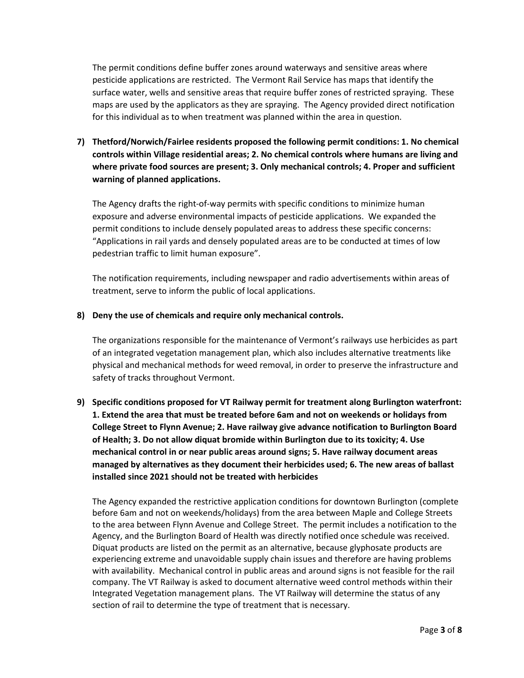The permit conditions define buffer zones around waterways and sensitive areas where pesticide applications are restricted. The Vermont Rail Service has maps that identify the surface water, wells and sensitive areas that require buffer zones of restricted spraying. These maps are used by the applicators as they are spraying. The Agency provided direct notification for this individual as to when treatment was planned within the area in question.

**7) Thetford/Norwich/Fairlee residents proposed the following permit conditions: 1. No chemical controls within Village residential areas; 2. No chemical controls where humans are living and where private food sources are present; 3. Only mechanical controls; 4. Proper and sufficient warning of planned applications.**

The Agency drafts the right-of-way permits with specific conditions to minimize human exposure and adverse environmental impacts of pesticide applications. We expanded the permit conditions to include densely populated areas to address these specific concerns: "Applications in rail yards and densely populated areas are to be conducted at times of low pedestrian traffic to limit human exposure".

The notification requirements, including newspaper and radio advertisements within areas of treatment, serve to inform the public of local applications.

## **8) Deny the use of chemicals and require only mechanical controls.**

The organizations responsible for the maintenance of Vermont's railways use herbicides as part of an integrated vegetation management plan, which also includes alternative treatments like physical and mechanical methods for weed removal, in order to preserve the infrastructure and safety of tracks throughout Vermont.

**9) Specific conditions proposed for VT Railway permit for treatment along Burlington waterfront: 1. Extend the area that must be treated before 6am and not on weekends or holidays from College Street to Flynn Avenue; 2. Have railway give advance notification to Burlington Board of Health; 3. Do not allow diquat bromide within Burlington due to its toxicity; 4. Use mechanical control in or near public areas around signs; 5. Have railway document areas managed by alternatives as they document their herbicides used; 6. The new areas of ballast installed since 2021 should not be treated with herbicides**

The Agency expanded the restrictive application conditions for downtown Burlington (complete before 6am and not on weekends/holidays) from the area between Maple and College Streets to the area between Flynn Avenue and College Street. The permit includes a notification to the Agency, and the Burlington Board of Health was directly notified once schedule was received. Diquat products are listed on the permit as an alternative, because glyphosate products are experiencing extreme and unavoidable supply chain issues and therefore are having problems with availability. Mechanical control in public areas and around signs is not feasible for the rail company. The VT Railway is asked to document alternative weed control methods within their Integrated Vegetation management plans. The VT Railway will determine the status of any section of rail to determine the type of treatment that is necessary.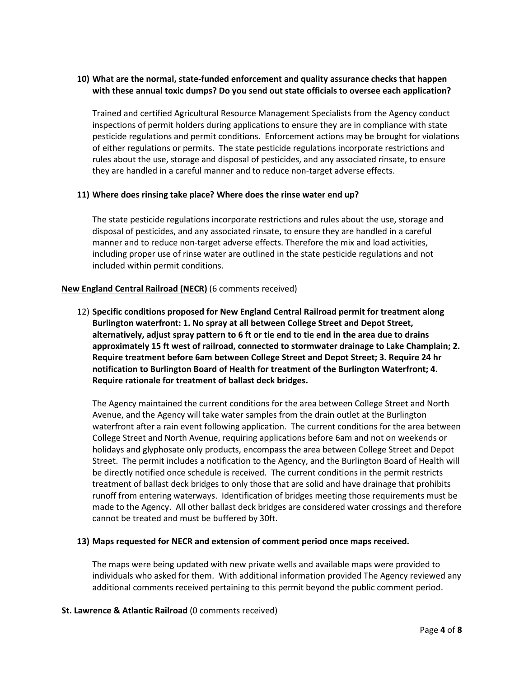## **10) What are the normal, state-funded enforcement and quality assurance checks that happen with these annual toxic dumps? Do you send out state officials to oversee each application?**

Trained and certified Agricultural Resource Management Specialists from the Agency conduct inspections of permit holders during applications to ensure they are in compliance with state pesticide regulations and permit conditions. Enforcement actions may be brought for violations of either regulations or permits. The state pesticide regulations incorporate restrictions and rules about the use, storage and disposal of pesticides, and any associated rinsate, to ensure they are handled in a careful manner and to reduce non-target adverse effects.

### **11) Where does rinsing take place? Where does the rinse water end up?**

The state pesticide regulations incorporate restrictions and rules about the use, storage and disposal of pesticides, and any associated rinsate, to ensure they are handled in a careful manner and to reduce non-target adverse effects. Therefore the mix and load activities, including proper use of rinse water are outlined in the state pesticide regulations and not included within permit conditions.

## **New England Central Railroad (NECR)** (6 comments received)

12) **Specific conditions proposed for New England Central Railroad permit for treatment along Burlington waterfront: 1. No spray at all between College Street and Depot Street, alternatively, adjust spray pattern to 6 ft or tie end to tie end in the area due to drains approximately 15 ft west of railroad, connected to stormwater drainage to Lake Champlain; 2. Require treatment before 6am between College Street and Depot Street; 3. Require 24 hr notification to Burlington Board of Health for treatment of the Burlington Waterfront; 4. Require rationale for treatment of ballast deck bridges.**

The Agency maintained the current conditions for the area between College Street and North Avenue, and the Agency will take water samples from the drain outlet at the Burlington waterfront after a rain event following application. The current conditions for the area between College Street and North Avenue, requiring applications before 6am and not on weekends or holidays and glyphosate only products, encompass the area between College Street and Depot Street. The permit includes a notification to the Agency, and the Burlington Board of Health will be directly notified once schedule is received. The current conditions in the permit restricts treatment of ballast deck bridges to only those that are solid and have drainage that prohibits runoff from entering waterways. Identification of bridges meeting those requirements must be made to the Agency. All other ballast deck bridges are considered water crossings and therefore cannot be treated and must be buffered by 30ft.

#### **13) Maps requested for NECR and extension of comment period once maps received.**

The maps were being updated with new private wells and available maps were provided to individuals who asked for them. With additional information provided The Agency reviewed any additional comments received pertaining to this permit beyond the public comment period.

#### **St. Lawrence & Atlantic Railroad** (0 comments received)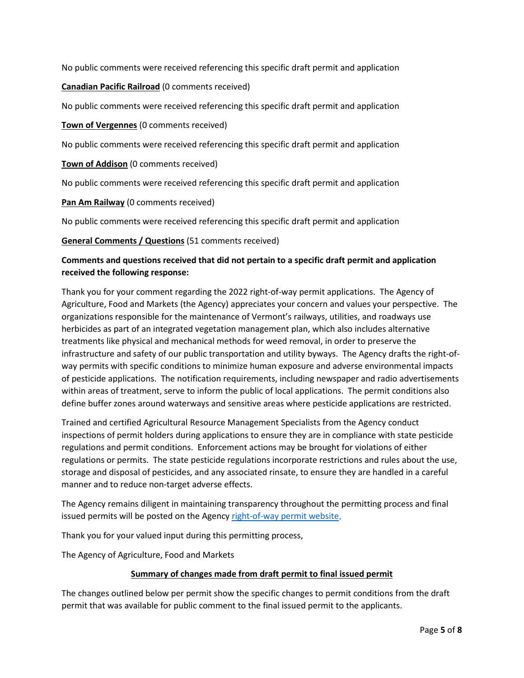No public comments were received referencing this specific draft permit and application

## **Canadian Pacific Railroad** (0 comments received)

No public comments were received referencing this specific draft permit and application

**Town of Vergennes** (0 comments received)

No public comments were received referencing this specific draft permit and application

**Town of Addison** (0 comments received)

No public comments were received referencing this specific draft permit and application

**Pan Am Railway** (0 comments received)

No public comments were received referencing this specific draft permit and application

**General Comments / Questions** (51 comments received)

## **Comments and questions received that did not pertain to a specific draft permit and application received the following response:**

Thank you for your comment regarding the 2022 right-of-way permit applications. The Agency of Agriculture, Food and Markets (the Agency) appreciates your concern and values your perspective. The organizations responsible for the maintenance of Vermont's railways, utilities, and roadways use herbicides as part of an integrated vegetation management plan, which also includes alternative treatments like physical and mechanical methods for weed removal, in order to preserve the infrastructure and safety of our public transportation and utility byways. The Agency drafts the right-ofway permits with specific conditions to minimize human exposure and adverse environmental impacts of pesticide applications. The notification requirements, including newspaper and radio advertisements within areas of treatment, serve to inform the public of local applications. The permit conditions also define buffer zones around waterways and sensitive areas where pesticide applications are restricted.

Trained and certified Agricultural Resource Management Specialists from the Agency conduct inspections of permit holders during applications to ensure they are in compliance with state pesticide regulations and permit conditions. Enforcement actions may be brought for violations of either regulations or permits. The state pesticide regulations incorporate restrictions and rules about the use, storage and disposal of pesticides, and any associated rinsate, to ensure they are handled in a careful manner and to reduce non-target adverse effects.

The Agency remains diligent in maintaining transparency throughout the permitting process and final issued permits will be posted on the Agency [right-of-way permit website.](https://agriculture.vermont.gov/public-health-agricultural-resource-management-division/pesticide-programs/pesticide-permits/right)

Thank you for your valued input during this permitting process,

The Agency of Agriculture, Food and Markets

## **Summary of changes made from draft permit to final issued permit**

The changes outlined below per permit show the specific changes to permit conditions from the draft permit that was available for public comment to the final issued permit to the applicants.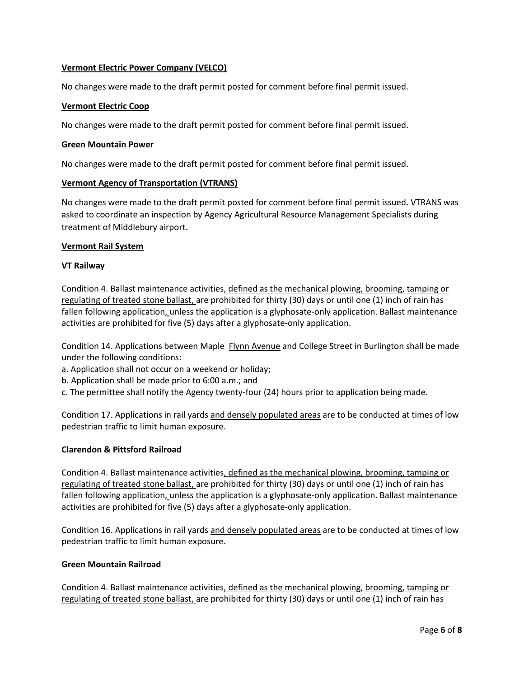## **Vermont Electric Power Company (VELCO)**

No changes were made to the draft permit posted for comment before final permit issued.

## **Vermont Electric Coop**

No changes were made to the draft permit posted for comment before final permit issued.

#### **Green Mountain Power**

No changes were made to the draft permit posted for comment before final permit issued.

### **Vermont Agency of Transportation (VTRANS)**

No changes were made to the draft permit posted for comment before final permit issued. VTRANS was asked to coordinate an inspection by Agency Agricultural Resource Management Specialists during treatment of Middlebury airport.

### **Vermont Rail System**

### **VT Railway**

Condition 4. Ballast maintenance activities, defined as the mechanical plowing, brooming, tamping or regulating of treated stone ballast, are prohibited for thirty (30) days or until one (1) inch of rain has fallen following application, unless the application is a glyphosate-only application. Ballast maintenance activities are prohibited for five (5) days after a glyphosate-only application.

Condition 14. Applications between Maple Flynn Avenue and College Street in Burlington shall be made under the following conditions:

- a. Application shall not occur on a weekend or holiday;
- b. Application shall be made prior to 6:00 a.m.; and
- c. The permittee shall notify the Agency twenty-four (24) hours prior to application being made.

Condition 17. Applications in rail yards and densely populated areas are to be conducted at times of low pedestrian traffic to limit human exposure.

## **Clarendon & Pittsford Railroad**

Condition 4. Ballast maintenance activities, defined as the mechanical plowing, brooming, tamping or regulating of treated stone ballast, are prohibited for thirty (30) days or until one (1) inch of rain has fallen following application, unless the application is a glyphosate-only application. Ballast maintenance activities are prohibited for five (5) days after a glyphosate-only application.

Condition 16. Applications in rail yards and densely populated areas are to be conducted at times of low pedestrian traffic to limit human exposure.

#### **Green Mountain Railroad**

Condition 4. Ballast maintenance activities, defined as the mechanical plowing, brooming, tamping or regulating of treated stone ballast, are prohibited for thirty (30) days or until one (1) inch of rain has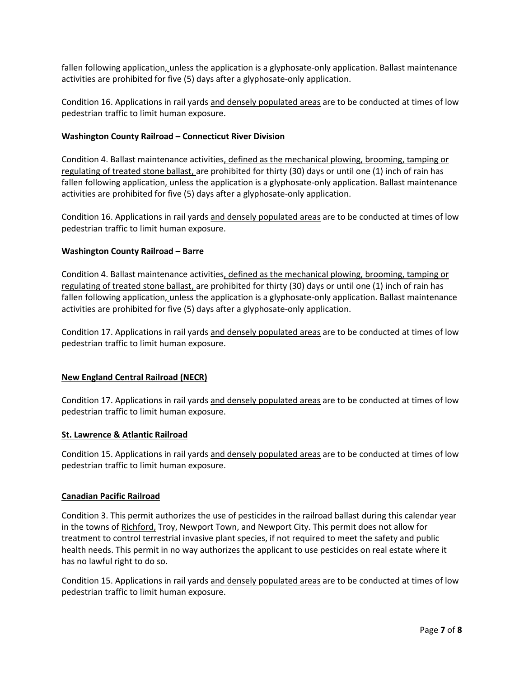fallen following application, unless the application is a glyphosate-only application. Ballast maintenance activities are prohibited for five (5) days after a glyphosate-only application.

Condition 16. Applications in rail yards and densely populated areas are to be conducted at times of low pedestrian traffic to limit human exposure.

### **Washington County Railroad – Connecticut River Division**

Condition 4. Ballast maintenance activities, defined as the mechanical plowing, brooming, tamping or regulating of treated stone ballast, are prohibited for thirty (30) days or until one (1) inch of rain has fallen following application, unless the application is a glyphosate-only application. Ballast maintenance activities are prohibited for five (5) days after a glyphosate-only application.

Condition 16. Applications in rail yards and densely populated areas are to be conducted at times of low pedestrian traffic to limit human exposure.

### **Washington County Railroad – Barre**

Condition 4. Ballast maintenance activities, defined as the mechanical plowing, brooming, tamping or regulating of treated stone ballast, are prohibited for thirty (30) days or until one (1) inch of rain has fallen following application, unless the application is a glyphosate-only application. Ballast maintenance activities are prohibited for five (5) days after a glyphosate-only application.

Condition 17. Applications in rail yards and densely populated areas are to be conducted at times of low pedestrian traffic to limit human exposure.

## **New England Central Railroad (NECR)**

Condition 17. Applications in rail yards and densely populated areas are to be conducted at times of low pedestrian traffic to limit human exposure.

#### **St. Lawrence & Atlantic Railroad**

Condition 15. Applications in rail yards and densely populated areas are to be conducted at times of low pedestrian traffic to limit human exposure.

#### **Canadian Pacific Railroad**

Condition 3. This permit authorizes the use of pesticides in the railroad ballast during this calendar year in the towns of Richford, Troy, Newport Town, and Newport City. This permit does not allow for treatment to control terrestrial invasive plant species, if not required to meet the safety and public health needs. This permit in no way authorizes the applicant to use pesticides on real estate where it has no lawful right to do so.

Condition 15. Applications in rail yards and densely populated areas are to be conducted at times of low pedestrian traffic to limit human exposure.